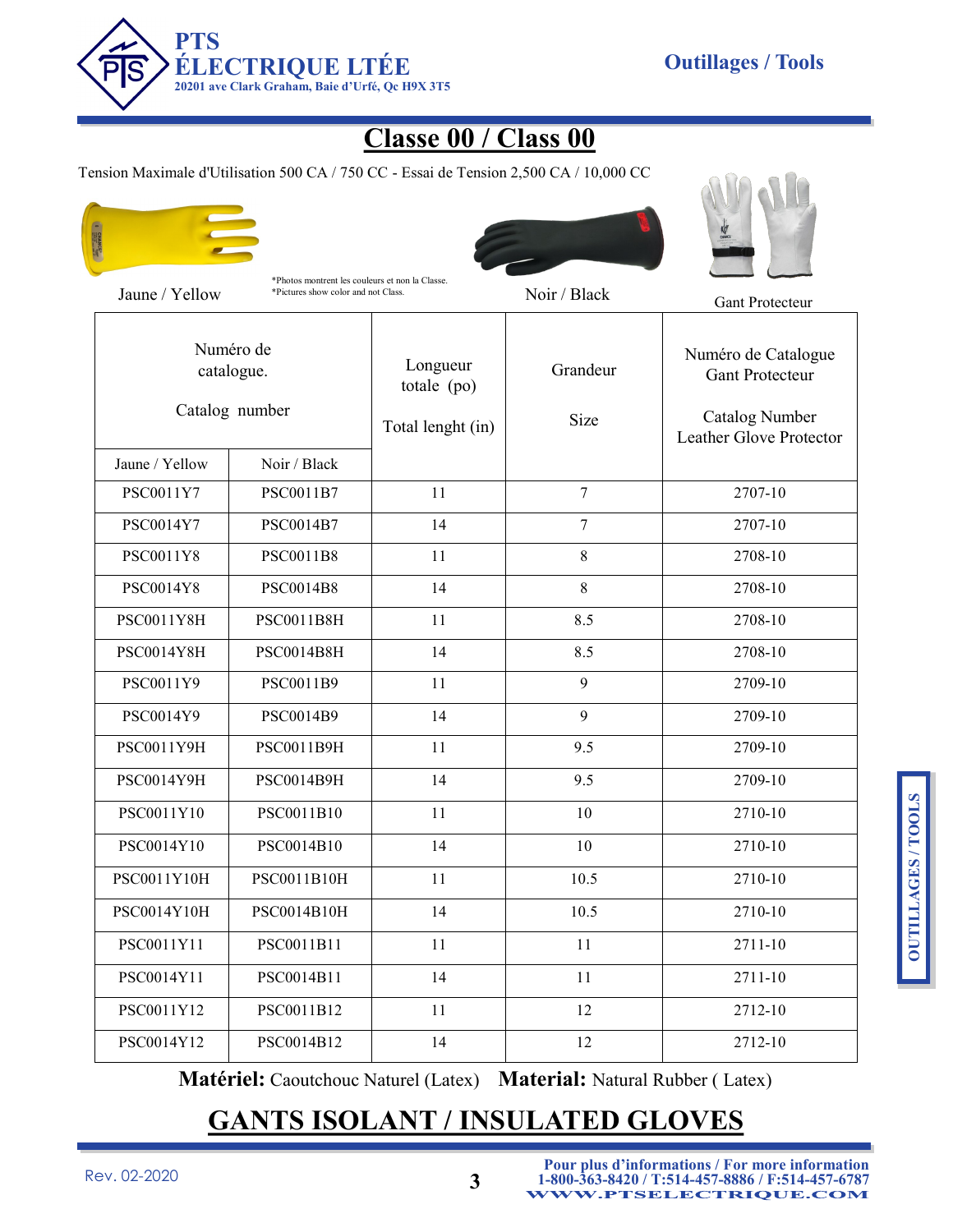

## **Classe 00 / Class 00**

Tension Maximale d'Utilisation 500 CA / 750 CC - Essai de Tension 2,500 CA / 10,000 CC



\*Photos montrent les couleurs et non la Classe.





| Jaune / Yellow              | *Pictures show color and not Class.       |                                              | Noir / Black     | <b>Gant Protecteur</b>                                                                     |
|-----------------------------|-------------------------------------------|----------------------------------------------|------------------|--------------------------------------------------------------------------------------------|
|                             | Numéro de<br>catalogue.<br>Catalog number | Longueur<br>totale (po)<br>Total lenght (in) | Grandeur<br>Size | Numéro de Catalogue<br><b>Gant Protecteur</b><br>Catalog Number<br>Leather Glove Protector |
| Jaune / Yellow<br>PSC0011Y7 | Noir / Black                              | 11                                           | $\overline{7}$   | 2707-10                                                                                    |
|                             | PSC0011B7                                 |                                              |                  |                                                                                            |
| PSC0014Y7                   | PSC0014B7                                 | 14                                           | $\overline{7}$   | 2707-10                                                                                    |
| PSC0011Y8                   | PSC0011B8                                 | 11                                           | $8\,$            | 2708-10                                                                                    |
| PSC0014Y8                   | PSC0014B8                                 | 14                                           | 8                | 2708-10                                                                                    |
| PSC0011Y8H                  | PSC0011B8H                                | 11                                           | 8.5              | 2708-10                                                                                    |
| PSC0014Y8H                  | PSC0014B8H                                | 14                                           | 8.5              | 2708-10                                                                                    |
| PSC0011Y9                   | PSC0011B9                                 | 11                                           | 9                | 2709-10                                                                                    |
| PSC0014Y9                   | PSC0014B9                                 | 14                                           | 9                | 2709-10                                                                                    |
| PSC0011Y9H                  | PSC0011B9H                                | 11                                           | 9.5              | 2709-10                                                                                    |
| PSC0014Y9H                  | PSC0014B9H                                | 14                                           | 9.5              | 2709-10                                                                                    |
| PSC0011Y10                  | PSC0011B10                                | 11                                           | 10               | 2710-10                                                                                    |
| PSC0014Y10                  | PSC0014B10                                | 14                                           | 10               | 2710-10                                                                                    |
| PSC0011Y10H                 | PSC0011B10H                               | 11                                           | 10.5             | 2710-10                                                                                    |
| PSC0014Y10H                 | PSC0014B10H                               | 14                                           | 10.5             | 2710-10                                                                                    |
| PSC0011Y11                  | PSC0011B11                                | 11                                           | 11               | 2711-10                                                                                    |
| PSC0014Y11                  | PSC0014B11                                | 14                                           | 11               | 2711-10                                                                                    |
| PSC0011Y12                  | PSC0011B12                                | 11                                           | 12               | 2712-10                                                                                    |
| PSC0014Y12                  | PSC0014B12                                | 14                                           | 12               | 2712-10                                                                                    |

**Matériel:** Caoutchouc Naturel (Latex) **Material:** Natural Rubber ( Latex)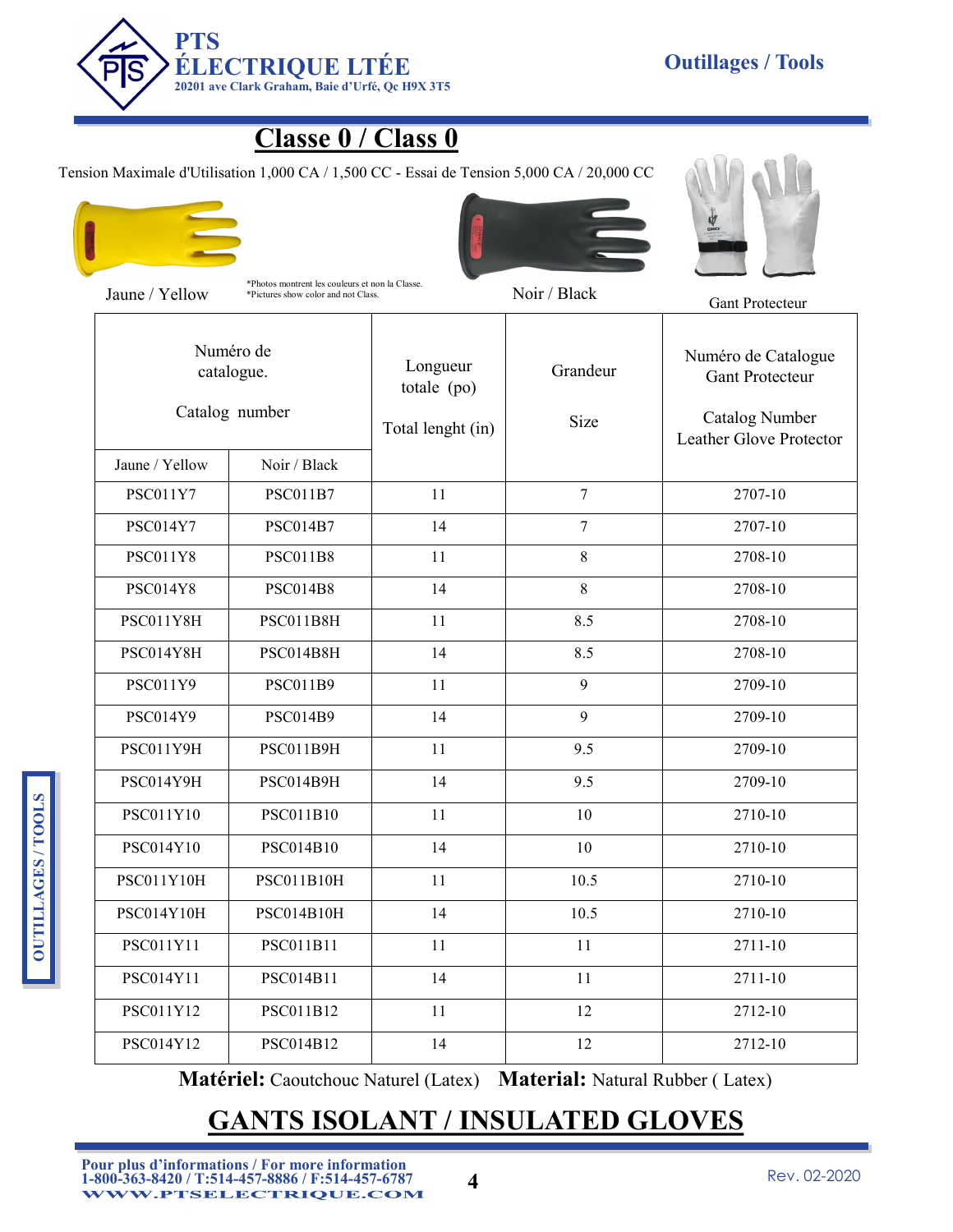

### **Classe 0 / Class 0**

Tension Maximale d'Utilisation 1,000 CA / 1,500 CC - Essai de Tension 5,000 CA / 20,000 CC





\*Photos montrent les couleurs et non la Classe. Jaune / Yellow \*Pictures show color and not Class. Noir / Black Gant Protecteur





| Numéro de<br>catalogue.<br>Catalog number |                   | Longueur<br>totale (po)<br>Total lenght (in) | Grandeur<br>Size | Numéro de Catalogue<br><b>Gant Protecteur</b><br><b>Catalog Number</b><br>Leather Glove Protector |
|-------------------------------------------|-------------------|----------------------------------------------|------------------|---------------------------------------------------------------------------------------------------|
| Jaune / Yellow                            | Noir / Black      |                                              |                  |                                                                                                   |
| <b>PSC011Y7</b>                           | <b>PSC011B7</b>   | 11                                           | $\tau$           | 2707-10                                                                                           |
| <b>PSC014Y7</b>                           | <b>PSC014B7</b>   | 14                                           | $\tau$           | 2707-10                                                                                           |
| <b>PSC011Y8</b>                           | <b>PSC011B8</b>   | 11                                           | 8                | 2708-10                                                                                           |
| <b>PSC014Y8</b>                           | <b>PSC014B8</b>   | 14                                           | 8                | 2708-10                                                                                           |
| PSC011Y8H                                 | PSC011B8H         | 11                                           | 8.5              | 2708-10                                                                                           |
| PSC014Y8H                                 | PSC014B8H         | 14                                           | 8.5              | 2708-10                                                                                           |
| PSC011Y9                                  | PSC011B9          | 11                                           | 9                | 2709-10                                                                                           |
| PSC014Y9                                  | <b>PSC014B9</b>   | 14                                           | 9                | 2709-10                                                                                           |
| PSC011Y9H                                 | PSC011B9H         | 11                                           | 9.5              | 2709-10                                                                                           |
| PSC014Y9H                                 | PSC014B9H         | 14                                           | 9.5              | 2709-10                                                                                           |
| PSC011Y10                                 | PSC011B10         | 11                                           | 10               | 2710-10                                                                                           |
| PSC014Y10                                 | PSC014B10         | 14                                           | 10               | 2710-10                                                                                           |
| PSC011Y10H                                | PSC011B10H        | 11                                           | 10.5             | 2710-10                                                                                           |
| PSC014Y10H                                | <b>PSC014B10H</b> | 14                                           | 10.5             | 2710-10                                                                                           |
| PSC011Y11                                 | PSC011B11         | 11                                           | 11               | 2711-10                                                                                           |
| PSC014Y11                                 | PSC014B11         | 14                                           | 11               | 2711-10                                                                                           |
| PSC011Y12                                 | PSC011B12         | 11                                           | 12               | 2712-10                                                                                           |
| PSC014Y12                                 | PSC014B12         | 14                                           | 12               | 2712-10                                                                                           |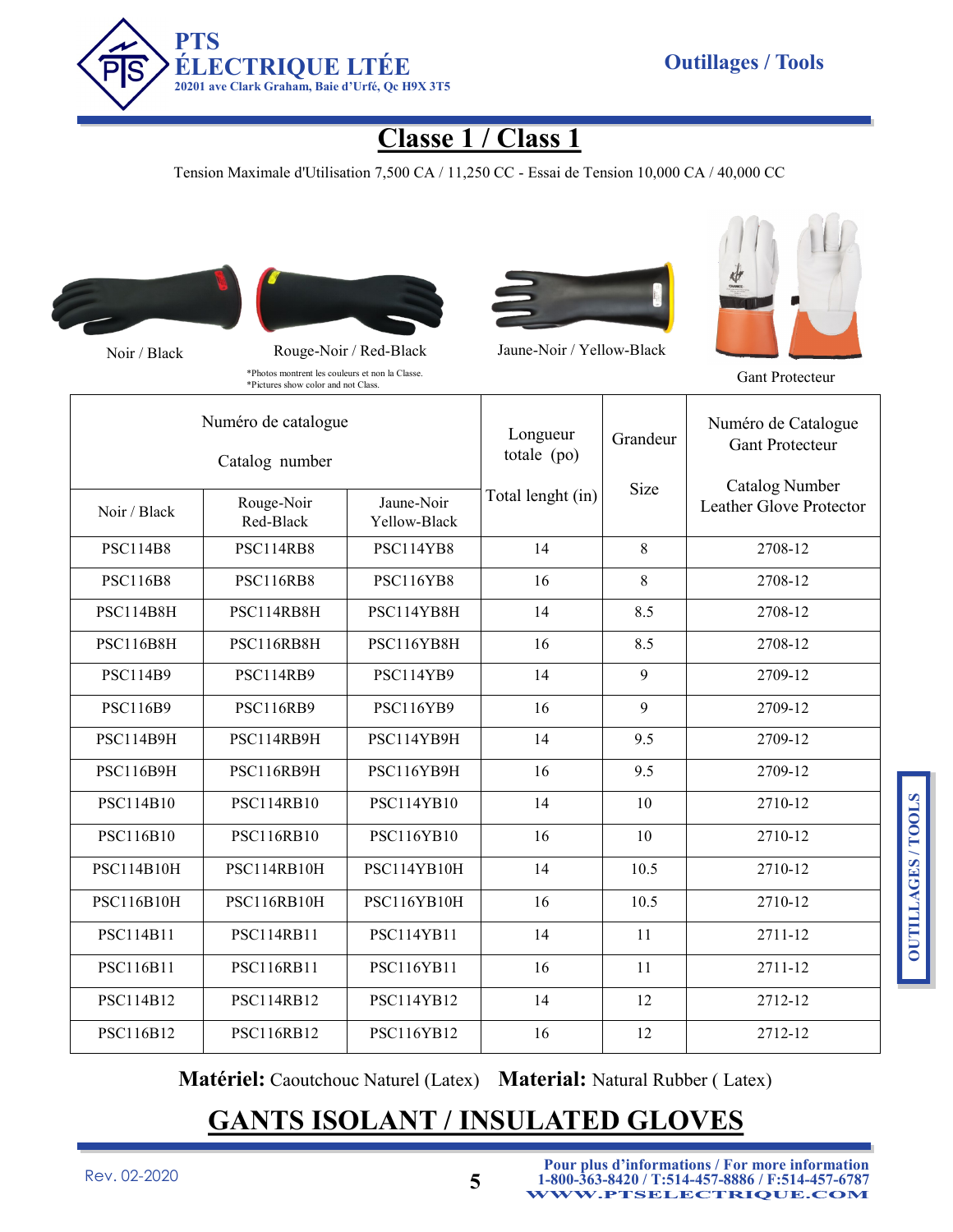

## **Classe 1 / Class 1**

Tension Maximale d'Utilisation 7,500 CA / 11,250 CC - Essai de Tension 10,000 CA / 40,000 CC







Noir / Black Rouge-Noir / Red-Black Jaune-Noir / Yellow-Black



\*Photos montrent les couleurs et non la Classe. \*Pictures show color and not Class. Gant Protecteur

| Numéro de catalogue<br>Catalog number |                         |                            | Longueur<br>totale (po) | Grandeur | Numéro de Catalogue<br><b>Gant Protecteur</b> |
|---------------------------------------|-------------------------|----------------------------|-------------------------|----------|-----------------------------------------------|
| Noir / Black                          | Rouge-Noir<br>Red-Black | Jaune-Noir<br>Yellow-Black | Total lenght (in)       | Size     | Catalog Number<br>Leather Glove Protector     |
| <b>PSC114B8</b>                       | <b>PSC114RB8</b>        | PSC114YB8                  | 14                      | 8        | 2708-12                                       |
| <b>PSC116B8</b>                       | <b>PSC116RB8</b>        | <b>PSC116YB8</b>           | 16                      | 8        | 2708-12                                       |
| <b>PSC114B8H</b>                      | PSC114RB8H              | PSC114YB8H                 | 14                      | 8.5      | 2708-12                                       |
| <b>PSC116B8H</b>                      | PSC116RB8H              | PSC116YB8H                 | 16                      | 8.5      | 2708-12                                       |
| <b>PSC114B9</b>                       | <b>PSC114RB9</b>        | <b>PSC114YB9</b>           | 14                      | 9        | 2709-12                                       |
| <b>PSC116B9</b>                       | <b>PSC116RB9</b>        | PSC116YB9                  | 16                      | 9        | 2709-12                                       |
| <b>PSC114B9H</b>                      | PSC114RB9H              | PSC114YB9H                 | 14                      | 9.5      | 2709-12                                       |
| <b>PSC116B9H</b>                      | PSC116RB9H              | PSC116YB9H                 | 16                      | 9.5      | 2709-12                                       |
| PSC114B10                             | <b>PSC114RB10</b>       | <b>PSC114YB10</b>          | 14                      | 10       | 2710-12                                       |
| PSC116B10                             | <b>PSC116RB10</b>       | <b>PSC116YB10</b>          | 16                      | 10       | 2710-12                                       |
| <b>PSC114B10H</b>                     | PSC114RB10H             | PSC114YB10H                | 14                      | 10.5     | 2710-12                                       |
| <b>PSC116B10H</b>                     | PSC116RB10H             | PSC116YB10H                | 16                      | 10.5     | 2710-12                                       |
| PSC114B11                             | <b>PSC114RB11</b>       | <b>PSC114YB11</b>          | 14                      | 11       | 2711-12                                       |
| PSC116B11                             | <b>PSC116RB11</b>       | PSC116YB11                 | 16                      | 11       | 2711-12                                       |
| PSC114B12                             | <b>PSC114RB12</b>       | <b>PSC114YB12</b>          | 14                      | 12       | 2712-12                                       |
| PSC116B12                             | <b>PSC116RB12</b>       | PSC116YB12                 | 16                      | 12       | 2712-12                                       |

**Matériel:** Caoutchouc Naturel (Latex) **Material:** Natural Rubber ( Latex)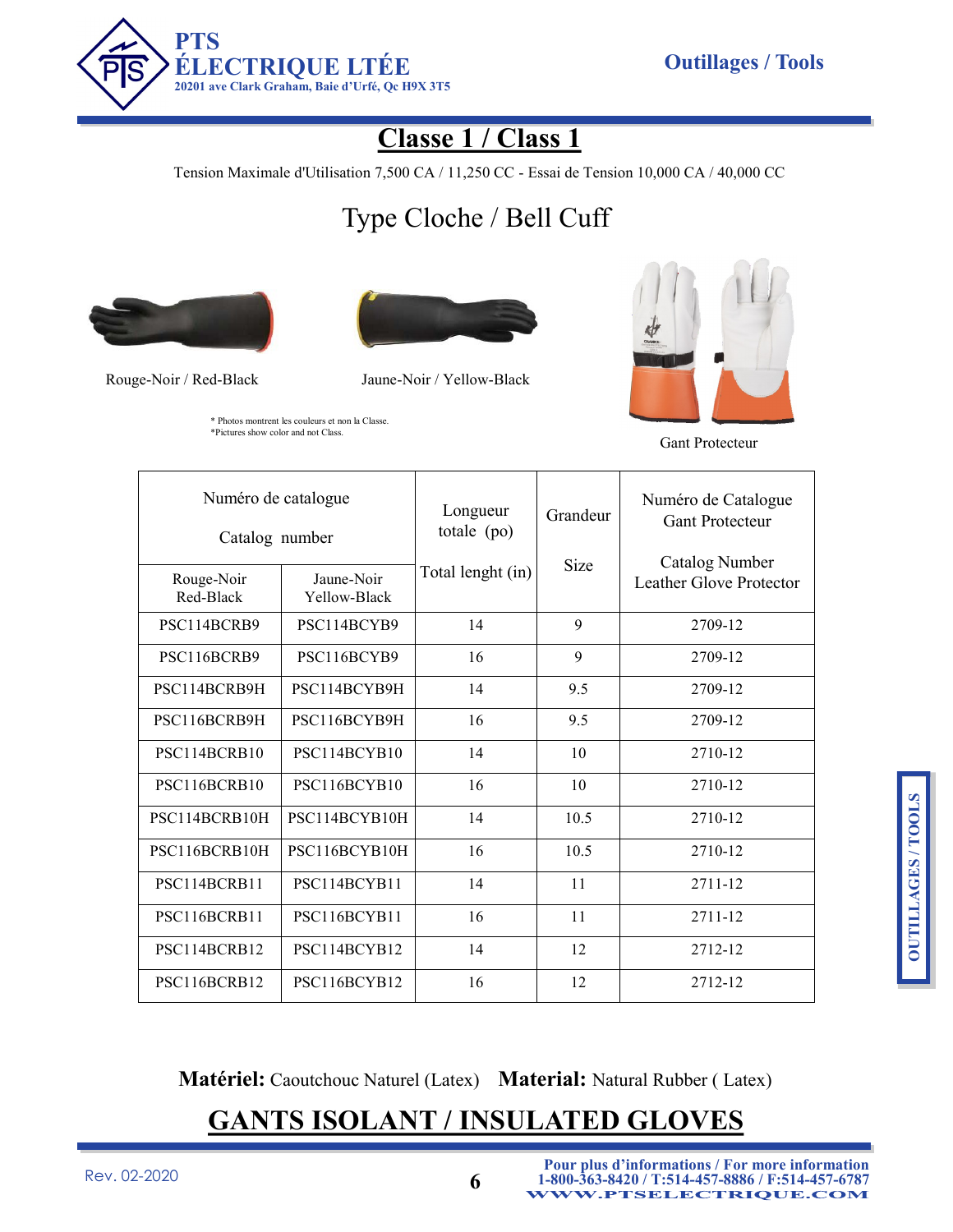

\* Photos montrent les couleurs et non la Classe. \*Pictures show color and not Class.

## **Classe 1 / Class 1**

Tension Maximale d'Utilisation 7,500 CA / 11,250 CC - Essai de Tension 10,000 CA / 40,000 CC

# Type Cloche / Bell Cuff





Rouge-Noir / Red-Black Jaune-Noir / Yellow-Black



Gant Protecteur

| Numéro de catalogue<br>Catalog number |                            | Longueur<br>totale $(po)$ | Grandeur | Numéro de Catalogue<br><b>Gant Protecteur</b><br><b>Catalog Number</b> |
|---------------------------------------|----------------------------|---------------------------|----------|------------------------------------------------------------------------|
| Rouge-Noir<br>Red-Black               | Jaune-Noir<br>Yellow-Black | Total lenght (in)         | Size     | Leather Glove Protector                                                |
| PSC114BCRB9                           | PSC114BCYB9                | 14                        | 9        | 2709-12                                                                |
| PSC116BCRB9                           | PSC116BCYB9                | 16                        | 9        | 2709-12                                                                |
| PSC114BCRB9H                          | PSC114BCYB9H               | 14                        | 9.5      | 2709-12                                                                |
| PSC116BCRB9H                          | PSC116BCYB9H               | 16                        | 9.5      | 2709-12                                                                |
| PSC114BCRB10                          | PSC114BCYB10               | 14                        | 10       | 2710-12                                                                |
| PSC116BCRB10                          | PSC116BCYB10               | 16                        | 10       | 2710-12                                                                |
| PSC114BCRB10H                         | PSC114BCYB10H              | 14                        | 10.5     | 2710-12                                                                |
| PSC116BCRB10H                         | PSC116BCYB10H              | 16                        | 10.5     | 2710-12                                                                |
| PSC114BCRB11                          | PSC114BCYB11               | 14                        | 11       | 2711-12                                                                |
| PSC116BCRB11                          | PSC116BCYB11               | 16                        | 11       | 2711-12                                                                |
| PSC114BCRB12                          | PSC114BCYB12               | 14                        | 12       | 2712-12                                                                |
| PSC116BCRB12                          | PSC116BCYB12               | 16                        | 12       | 2712-12                                                                |

**Matériel:** Caoutchouc Naturel (Latex) **Material:** Natural Rubber ( Latex)

## **GANTS ISOLANT / INSULATED GLOVES**

Rev. 02-2020 **6**

**Pour plus d'informations / For more information 1-800-363-8420 / T:514-457-8886 / F:514-457-6787 WWW.PTSELECTRIQUE.COM**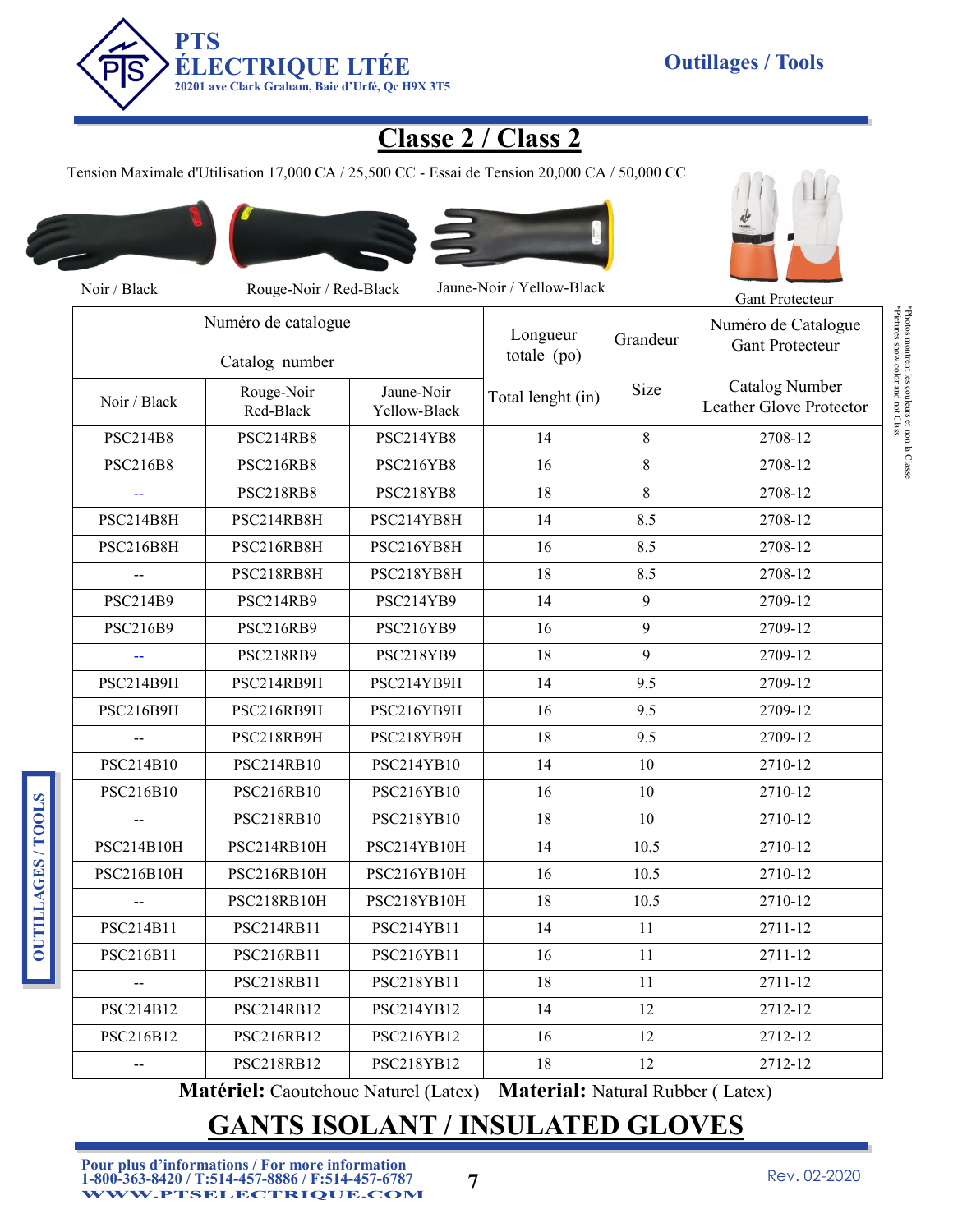

## **Classe 2 / Class 2**

Tension Maximale d'Utilisation 17,000 CA / 25,500 CC - Essai de Tension 20,000 CA / 50,000 CC



**OUTILLAGES / TOOLS**

**OUTILLAGES/TOOLS** 





| Noir / Black                          | Rouge-Noir / Red-Black  |                            | Jaune-Noir / Yellow-Black           |         | Gant Protecteur                                  |
|---------------------------------------|-------------------------|----------------------------|-------------------------------------|---------|--------------------------------------------------|
| Numéro de catalogue<br>Catalog number |                         |                            | Longueur<br>Grandeur<br>totale (po) |         | Numéro de Catalogue<br><b>Gant Protecteur</b>    |
| Noir / Black                          | Rouge-Noir<br>Red-Black | Jaune-Noir<br>Yellow-Black | Total lenght (in)                   | Size    | <b>Catalog Number</b><br>Leather Glove Protector |
| <b>PSC214B8</b>                       | PSC214RB8               | PSC214YB8                  | 14                                  | $\,8\,$ | 2708-12                                          |
| <b>PSC216B8</b>                       | <b>PSC216RB8</b>        | PSC216YB8                  | 16                                  | 8       | 2708-12                                          |
|                                       | <b>PSC218RB8</b>        | PSC218YB8                  | 18                                  | $\,8\,$ | 2708-12                                          |
| PSC214B8H                             | PSC214RB8H              | PSC214YB8H                 | 14                                  | 8.5     | 2708-12                                          |
| <b>PSC216B8H</b>                      | PSC216RB8H              | PSC216YB8H                 | 16                                  | 8.5     | 2708-12                                          |
| --                                    | PSC218RB8H              | PSC218YB8H                 | 18                                  | 8.5     | 2708-12                                          |
| <b>PSC214B9</b>                       | <b>PSC214RB9</b>        | PSC214YB9                  | 14                                  | 9       | 2709-12                                          |
| PSC216B9                              | <b>PSC216RB9</b>        | PSC216YB9                  | 16                                  | 9       | 2709-12                                          |
|                                       | <b>PSC218RB9</b>        | PSC218YB9                  | 18                                  | 9       | 2709-12                                          |
| PSC214B9H                             | PSC214RB9H              | PSC214YB9H                 | 14                                  | 9.5     | 2709-12                                          |
| <b>PSC216B9H</b>                      | PSC216RB9H              | PSC216YB9H                 | 16                                  | 9.5     | 2709-12                                          |
| $\overline{a}$                        | PSC218RB9H              | PSC218YB9H                 | 18                                  | 9.5     | 2709-12                                          |
| PSC214B10                             | PSC214RB10              | PSC214YB10                 | 14                                  | 10      | 2710-12                                          |
| PSC216B10                             | <b>PSC216RB10</b>       | PSC216YB10                 | 16                                  | 10      | 2710-12                                          |
|                                       | PSC218RB10              | PSC218YB10                 | 18                                  | 10      | 2710-12                                          |
| PSC214B10H                            | PSC214RB10H             | PSC214YB10H                | 14                                  | 10.5    | 2710-12                                          |
| PSC216B10H                            | PSC216RB10H             | PSC216YB10H                | 16                                  | 10.5    | 2710-12                                          |
|                                       | PSC218RB10H             | PSC218YB10H                | 18                                  | 10.5    | 2710-12                                          |
| PSC214B11                             | PSC214RB11              | PSC214YB11                 | 14                                  | 11      | 2711-12                                          |
| PSC216B11                             | PSC216RB11              | PSC216YB11                 | 16                                  | 11      | 2711-12                                          |
| $-$                                   | PSC218RB11              | PSC218YB11                 | 18                                  | 11      | 2711-12                                          |
| PSC214B12                             | PSC214RB12              | PSC214YB12                 | 14                                  | 12      | 2712-12                                          |
| PSC216B12                             | PSC216RB12              | PSC216YB12                 | 16                                  | 12      | 2712-12                                          |
| $-$                                   | <b>PSC218RB12</b>       | PSC218YB12                 | 18                                  | 12      | 2712-12                                          |

**Matériel:** Caoutchouc Naturel (Latex) **Material:** Natural Rubber ( Latex)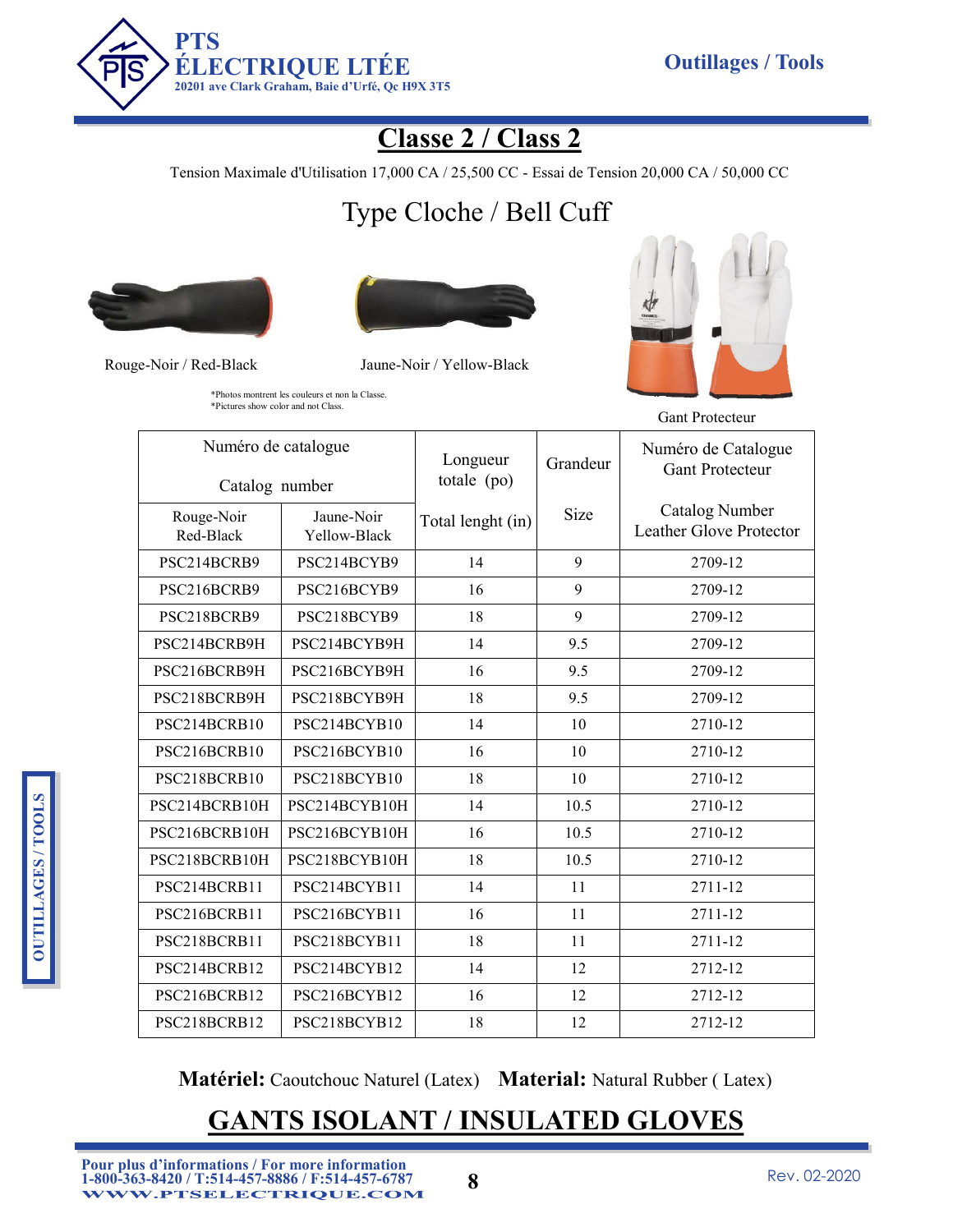

## **Classe 2 / Class 2**

Tension Maximale d'Utilisation 17,000 CA / 25,500 CC - Essai de Tension 20,000 CA / 50,000 CC

# Type Cloche / Bell Cuff





Rouge-Noir / Red-Black Jaune-Noir / Yellow-Black



Gant Protecteur

\*Photos montrent les couleurs et non la Classe. \*Pictures show color and not Class.

| Numéro de catalogue<br>Catalog number |                            | Longueur<br>totale (po) | Grandeur | Numéro de Catalogue<br><b>Gant Protecteur</b>    |
|---------------------------------------|----------------------------|-------------------------|----------|--------------------------------------------------|
| Rouge-Noir<br>Red-Black               | Jaune-Noir<br>Yellow-Black | Total lenght (in)       | Size     | <b>Catalog Number</b><br>Leather Glove Protector |
| PSC214BCRB9                           | PSC214BCYB9                | 14                      | 9        | 2709-12                                          |
| PSC216BCRB9                           | PSC216BCYB9                | 16                      | 9        | 2709-12                                          |
| PSC218BCRB9                           | PSC218BCYB9                | 18                      | 9        | 2709-12                                          |
| PSC214BCRB9H                          | PSC214BCYB9H               | 14                      | 9.5      | 2709-12                                          |
| PSC216BCRB9H                          | PSC216BCYB9H               | 16                      | 9.5      | 2709-12                                          |
| PSC218BCRB9H                          | PSC218BCYB9H               | 18                      | 9.5      | 2709-12                                          |
| PSC214BCRB10                          | PSC214BCYB10               | 14                      | 10       | 2710-12                                          |
| PSC216BCRB10                          | PSC216BCYB10               | 16                      | 10       | 2710-12                                          |
| PSC218BCRB10                          | PSC218BCYB10               | 18                      | 10       | 2710-12                                          |
| PSC214BCRB10H                         | PSC214BCYB10H              | 14                      | 10.5     | 2710-12                                          |
| PSC216BCRB10H                         | PSC216BCYB10H              | 16                      | 10.5     | 2710-12                                          |
| PSC218BCRB10H                         | PSC218BCYB10H              | 18                      | 10.5     | 2710-12                                          |
| PSC214BCRB11                          | PSC214BCYB11               | 14                      | 11       | 2711-12                                          |
| PSC216BCRB11                          | PSC216BCYB11               | 16                      | 11       | 2711-12                                          |
| PSC218BCRB11                          | PSC218BCYB11               | 18                      | 11       | 2711-12                                          |
| PSC214BCRB12                          | PSC214BCYB12               | 14                      | 12       | 2712-12                                          |
| PSC216BCRB12                          | PSC216BCYB12               | 16                      | 12       | 2712-12                                          |
| PSC218BCRB12                          | PSC218BCYB12               | 18                      | 12       | 2712-12                                          |

**Matériel:** Caoutchouc Naturel (Latex) **Material:** Natural Rubber ( Latex)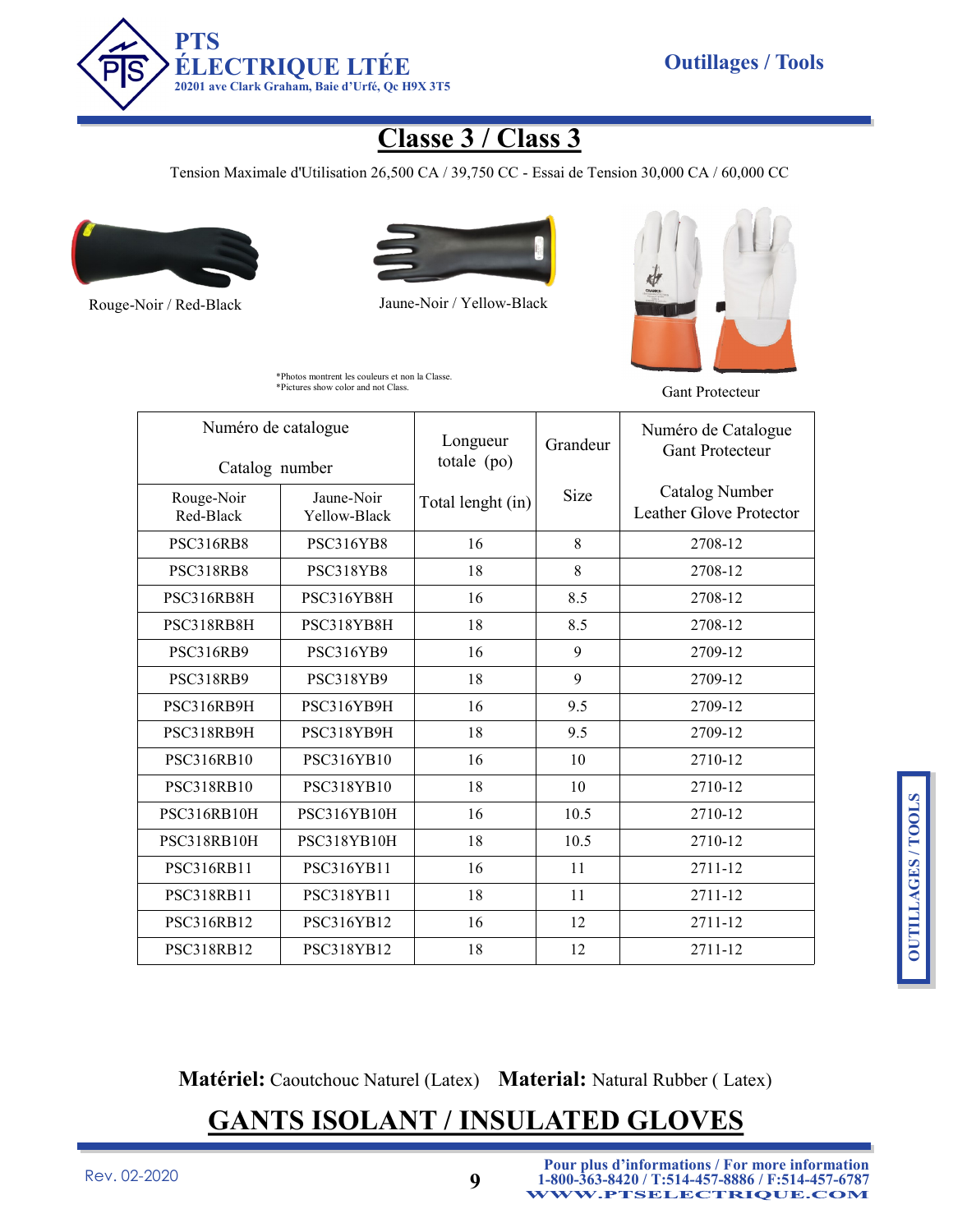

## **Classe 3 / Class 3**

Tension Maximale d'Utilisation 26,500 CA / 39,750 CC - Essai de Tension 30,000 CA / 60,000 CC





Rouge-Noir / Red-Black Jaune-Noir / Yellow-Black





| Numéro de catalogue<br>Catalog number |                            | Longueur<br>totale (po) | Grandeur | Numéro de Catalogue<br><b>Gant Protecteur</b>    |
|---------------------------------------|----------------------------|-------------------------|----------|--------------------------------------------------|
| Rouge-Noir<br>Red-Black               | Jaune-Noir<br>Yellow-Black | Total lenght (in)       | Size     | <b>Catalog Number</b><br>Leather Glove Protector |
| <b>PSC316RB8</b>                      | <b>PSC316YB8</b>           | 16                      | 8        | 2708-12                                          |
| <b>PSC318RB8</b>                      | PSC318YB8                  | 18                      | 8        | 2708-12                                          |
| PSC316RB8H                            | PSC316YB8H                 | 16                      | 8.5      | 2708-12                                          |
| PSC318RB8H                            | PSC318YB8H                 | 18                      | 8.5      | 2708-12                                          |
| <b>PSC316RB9</b>                      | <b>PSC316YB9</b>           | 16                      | 9        | 2709-12                                          |
| <b>PSC318RB9</b>                      | PSC318YB9                  | 18                      | 9        | 2709-12                                          |
| PSC316RB9H                            | PSC316YB9H                 | 16                      | 9.5      | 2709-12                                          |
| PSC318RB9H                            | PSC318YB9H                 | 18                      | 9.5      | 2709-12                                          |
| <b>PSC316RB10</b>                     | <b>PSC316YB10</b>          | 16                      | 10       | 2710-12                                          |
| <b>PSC318RB10</b>                     | <b>PSC318YB10</b>          | 18                      | 10       | 2710-12                                          |
| PSC316RB10H                           | PSC316YB10H                | 16                      | 10.5     | 2710-12                                          |
| PSC318RB10H                           | PSC318YB10H                | 18                      | 10.5     | 2710-12                                          |
| PSC316RB11                            | PSC316YB11                 | 16                      | 11       | 2711-12                                          |
| PSC318RB11                            | PSC318YB11                 | 18                      | 11       | 2711-12                                          |
| <b>PSC316RB12</b>                     | PSC316YB12                 | 16                      | 12       | 2711-12                                          |
| <b>PSC318RB12</b>                     | <b>PSC318YB12</b>          | 18                      | 12       | 2711-12                                          |

**Matériel:** Caoutchouc Naturel (Latex) **Material:** Natural Rubber ( Latex)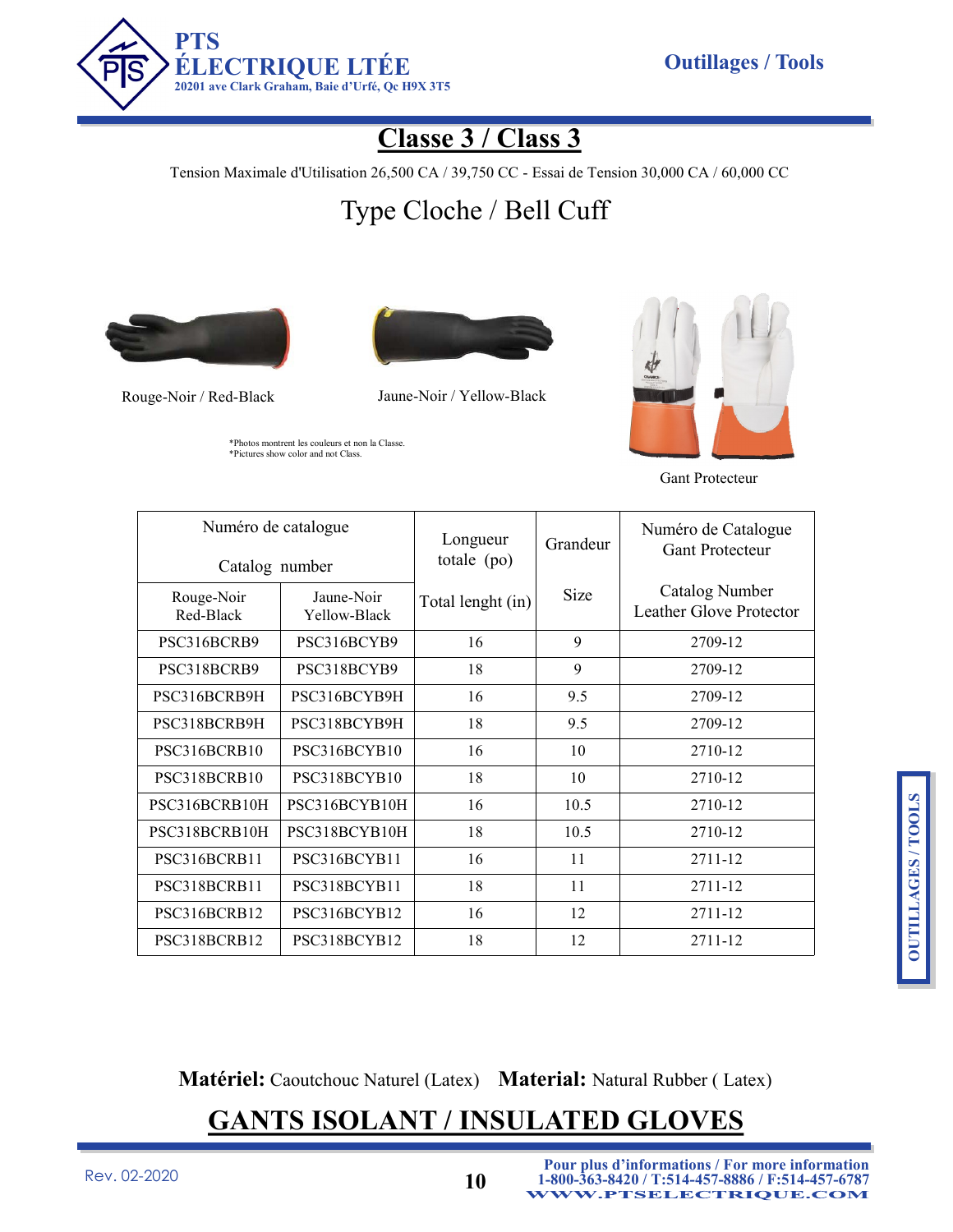

## **Classe 3 / Class 3**

Tension Maximale d'Utilisation 26,500 CA / 39,750 CC - Essai de Tension 30,000 CA / 60,000 CC

# Type Cloche / Bell Cuff



\*Photos montrent les couleurs et non la Classe. \*Pictures show color and not Class.



Rouge-Noir / Red-Black Jaune-Noir / Yellow-Black



Gant Protecteur

| Numéro de catalogue<br>Catalog number |                            | Longueur<br>totale $(po)$ | Grandeur | Numéro de Catalogue<br><b>Gant Protecteur</b> |
|---------------------------------------|----------------------------|---------------------------|----------|-----------------------------------------------|
| Rouge-Noir<br>Red-Black               | Jaune-Noir<br>Yellow-Black | Total lenght (in)         | Size     | Catalog Number<br>Leather Glove Protector     |
| PSC316BCRB9                           | PSC316BCYB9                | 16                        | 9        | 2709-12                                       |
| PSC318BCRB9                           | PSC318BCYB9                | 18                        | 9        | 2709-12                                       |
| PSC316BCRB9H                          | PSC316BCYB9H               | 16                        | 9.5      | 2709-12                                       |
| PSC318BCRB9H                          | PSC318BCYB9H               | 18                        | 9.5      | 2709-12                                       |
| PSC316BCRB10                          | PSC316BCYB10               | 16                        | 10       | 2710-12                                       |
| PSC318BCRB10                          | PSC318BCYB10               | 18                        | 10       | 2710-12                                       |
| PSC316BCRB10H                         | PSC316BCYB10H              | 16                        | 10.5     | 2710-12                                       |
| PSC318BCRB10H                         | PSC318BCYB10H              | 18                        | 10.5     | 2710-12                                       |
| PSC316BCRB11                          | PSC316BCYB11               | 16                        | 11       | 2711-12                                       |
| PSC318BCRB11                          | PSC318BCYB11               | 18                        | 11       | 2711-12                                       |
| PSC316BCRB12                          | PSC316BCYB12               | 16                        | 12       | 2711-12                                       |
| PSC318BCRB12                          | PSC318BCYB12               | 18                        | 12       | 2711-12                                       |

**Matériel:** Caoutchouc Naturel (Latex) **Material:** Natural Rubber ( Latex)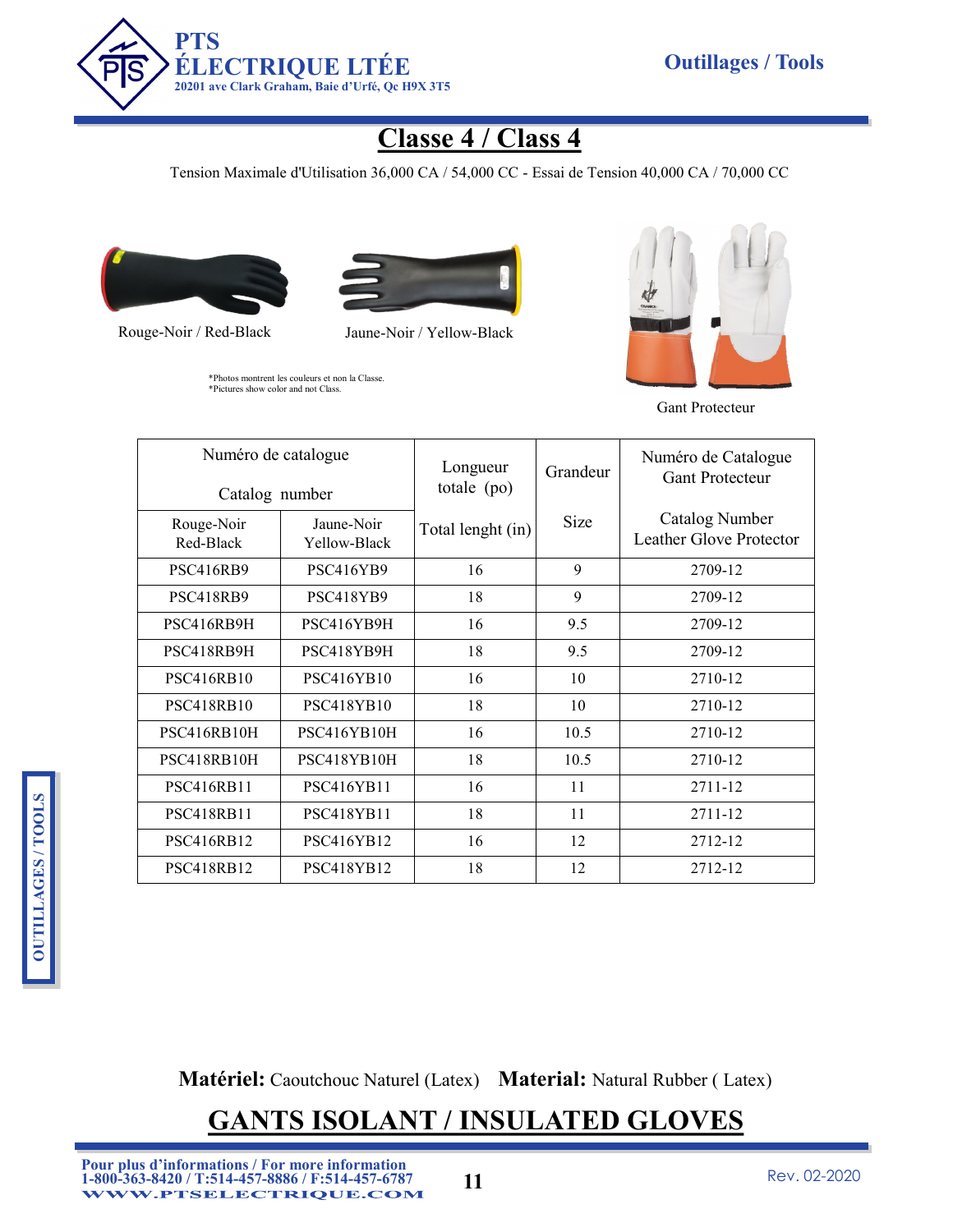

## **Classe 4 / Class 4**

Tension Maximale d'Utilisation 36,000 CA / 54,000 CC - Essai de Tension 40,000 CA / 70,000 CC





Rouge-Noir / Red-Black Jaune-Noir / Yellow-Black

\*Photos montrent les couleurs et non la Classe. \*Pictures show color and not Class.



Gant Protecteur

| Numéro de catalogue<br>Catalog number |                            | Longueur<br>totale $(po)$ | Grandeur | Numéro de Catalogue<br><b>Gant Protecteur</b> |
|---------------------------------------|----------------------------|---------------------------|----------|-----------------------------------------------|
| Rouge-Noir<br>Red-Black               | Jaune-Noir<br>Yellow-Black | Total lenght (in)         | Size     | Catalog Number<br>Leather Glove Protector     |
| <b>PSC416RB9</b>                      | <b>PSC416YB9</b>           | 16                        | 9        | 2709-12                                       |
| <b>PSC418RB9</b>                      | PSC418YB9                  | 18                        | 9        | 2709-12                                       |
| PSC416RB9H                            | PSC416YB9H                 | 16                        | 9.5      | 2709-12                                       |
| PSC418RB9H                            | PSC418YB9H                 | 18                        | 9.5      | 2709-12                                       |
| <b>PSC416RB10</b>                     | <b>PSC416YB10</b>          | 16                        | 10       | 2710-12                                       |
| <b>PSC418RB10</b>                     | <b>PSC418YB10</b>          | 18                        | 10       | 2710-12                                       |
| PSC416RB10H                           | PSC416YB10H                | 16                        | 10.5     | 2710-12                                       |
| PSC418RB10H                           | PSC418YB10H                | 18                        | 10.5     | 2710-12                                       |
| PSC416RB11                            | <b>PSC416YB11</b>          | 16                        | 11       | 2711-12                                       |
| <b>PSC418RB11</b>                     | PSC418YB11                 | 18                        | 11       | 2711-12                                       |
| <b>PSC416RB12</b>                     | PSC416YB12                 | 16                        | 12       | 2712-12                                       |
| <b>PSC418RB12</b>                     | <b>PSC418YB12</b>          | 18                        | 12       | 2712-12                                       |

**Matériel:** Caoutchouc Naturel (Latex) **Material:** Natural Rubber ( Latex)